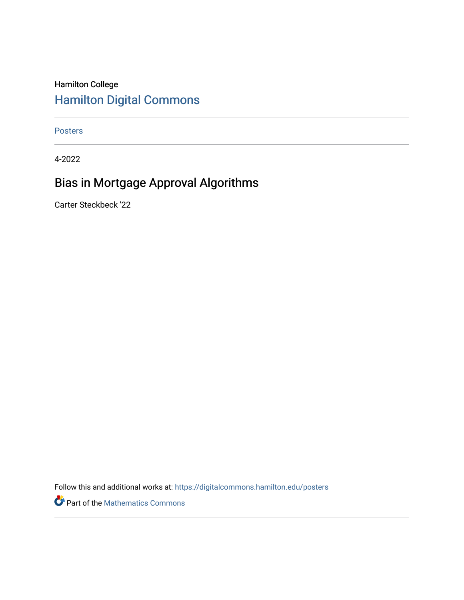#### Hamilton College [Hamilton Digital Commons](https://digitalcommons.hamilton.edu/)

[Posters](https://digitalcommons.hamilton.edu/posters) 

4-2022

#### Bias in Mortgage Approval Algorithms

Carter Steckbeck '22

Follow this and additional works at: [https://digitalcommons.hamilton.edu/posters](https://digitalcommons.hamilton.edu/posters?utm_source=digitalcommons.hamilton.edu%2Fposters%2F6&utm_medium=PDF&utm_campaign=PDFCoverPages) 

Part of the [Mathematics Commons](https://network.bepress.com/hgg/discipline/174?utm_source=digitalcommons.hamilton.edu%2Fposters%2F6&utm_medium=PDF&utm_campaign=PDFCoverPages)